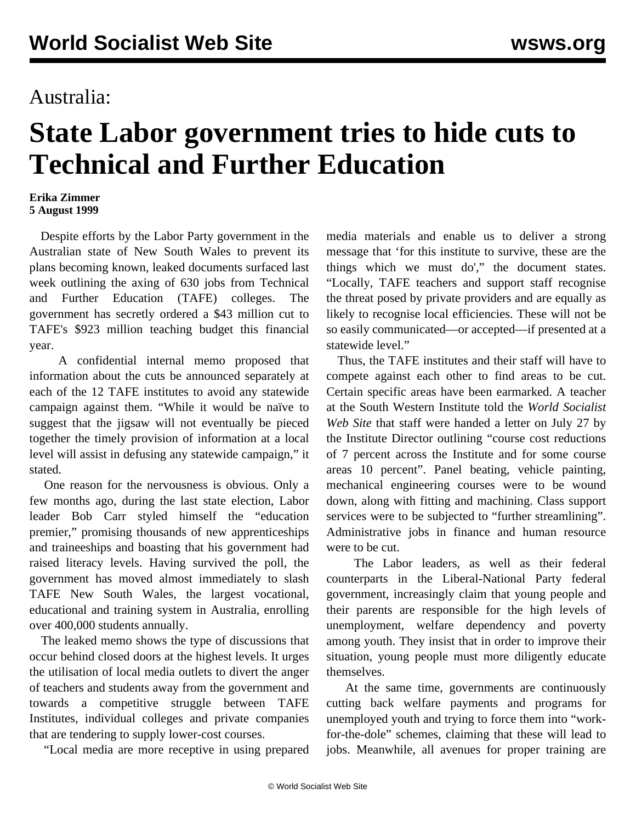## Australia:

## **State Labor government tries to hide cuts to Technical and Further Education**

## **Erika Zimmer 5 August 1999**

 Despite efforts by the Labor Party government in the Australian state of New South Wales to prevent its plans becoming known, leaked documents surfaced last week outlining the axing of 630 jobs from Technical and Further Education (TAFE) colleges. The government has secretly ordered a \$43 million cut to TAFE's \$923 million teaching budget this financial year.

 A confidential internal memo proposed that information about the cuts be announced separately at each of the 12 TAFE institutes to avoid any statewide campaign against them. "While it would be naïve to suggest that the jigsaw will not eventually be pieced together the timely provision of information at a local level will assist in defusing any statewide campaign," it stated.

 One reason for the nervousness is obvious. Only a few months ago, during the last state election, Labor leader Bob Carr styled himself the "education premier," promising thousands of new apprenticeships and traineeships and boasting that his government had raised literacy levels. Having survived the poll, the government has moved almost immediately to slash TAFE New South Wales, the largest vocational, educational and training system in Australia, enrolling over 400,000 students annually.

 The leaked memo shows the type of discussions that occur behind closed doors at the highest levels. It urges the utilisation of local media outlets to divert the anger of teachers and students away from the government and towards a competitive struggle between TAFE Institutes, individual colleges and private companies that are tendering to supply lower-cost courses.

"Local media are more receptive in using prepared

media materials and enable us to deliver a strong message that 'for this institute to survive, these are the things which we must do'," the document states. "Locally, TAFE teachers and support staff recognise the threat posed by private providers and are equally as likely to recognise local efficiencies. These will not be so easily communicated—or accepted—if presented at a statewide level."

 Thus, the TAFE institutes and their staff will have to compete against each other to find areas to be cut. Certain specific areas have been earmarked. A teacher at the South Western Institute told the *World Socialist Web Site* that staff were handed a letter on July 27 by the Institute Director outlining "course cost reductions of 7 percent across the Institute and for some course areas 10 percent". Panel beating, vehicle painting, mechanical engineering courses were to be wound down, along with fitting and machining. Class support services were to be subjected to "further streamlining". Administrative jobs in finance and human resource were to be cut.

 The Labor leaders, as well as their federal counterparts in the Liberal-National Party federal government, increasingly claim that young people and their parents are responsible for the high levels of unemployment, welfare dependency and poverty among youth. They insist that in order to improve their situation, young people must more diligently educate themselves.

 At the same time, governments are continuously cutting back welfare payments and programs for unemployed youth and trying to force them into "workfor-the-dole" schemes, claiming that these will lead to jobs. Meanwhile, all avenues for proper training are